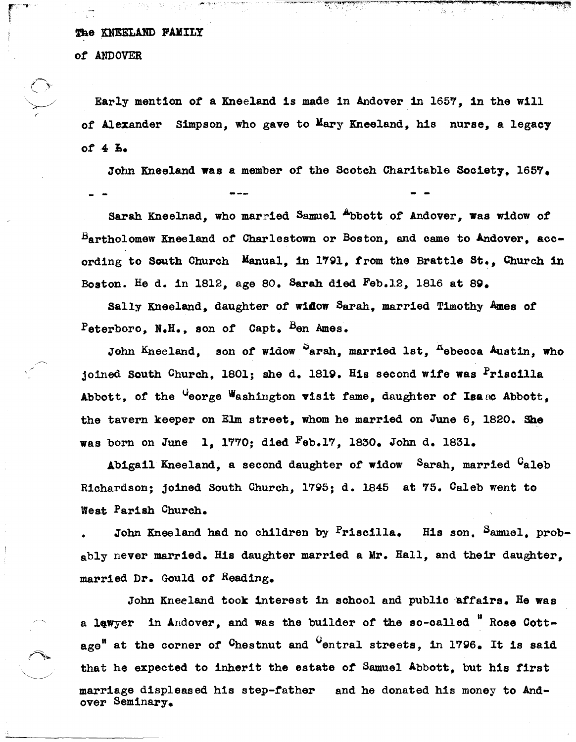## The KNEELAND FAMILY

*ot* ANDOVER

 $\bigcirc$ 

 $\searrow$ 

Early ment10n *ot* a Kneeland 1s made in Andover in 1657, 1n the w111 of Alexander Simpson, who gave to Mary Kneeland, his nurse, a legacy *ot* 4 1,.

John Kneeland was a member of the Scotch Charitable Society. 1657. - -

Sarah Kneelnad, who married Samuel ~bott *ot* Andover, was widow *ot*  Bartholomew Kneeland *ot* Charlestown or Boston, and came to Andover, according to South Church Manual, in 1791, from the Brattle St., Church in Boston. He d. in lS12, age SO. Sarah died Feb.12, lS16 at Sg.

Sally Kneeland, daughter *ot* wi40w Sarah, married Timothy Ames of Peterboro, N.H., son of Capt. Ben Ames.

John Kneeland, son of widow <sup>S</sup>arah, married 1st, Rebecca Austin, who joined South Church. 1801; she d. 1819. His second wife was  $Pris$ cilla Abbott, of the <sup>G</sup>eorge Washington visit fame, daughter of Isaac Abbott, the tavern keeper on Elm street, whom he married on June 6, 1820. She was born on June 1, 1770; died  $F_{eb}$ .17, 1830. John d. 1831.

Abigail Kneeland, a second daughter *ot* widow Sarah, married Caleb Richardson; joined South Church, 17g5; d. lS45 at 75. Oaleb went to Weat Parish Church.

John Kneeland had no children by Priscilla. His son. Samuel, probably never married. His daughter married a Mr. Hall, and their daughter. married Dr. Gould *ot* Reading.

John Kneeland took interest in school and public affairs. He was a lawyer in Andover, and was the builder of the so-called  $"$  Rose Cottage<sup>"</sup> at the corner of <sup>C</sup>hestnut and <sup>C</sup>entral streets, in 1796. It is said that he expected to inherit the estate of Samuel Abbott, but his first marriage displeased his step-father and he donated his money to Andover Seminary.